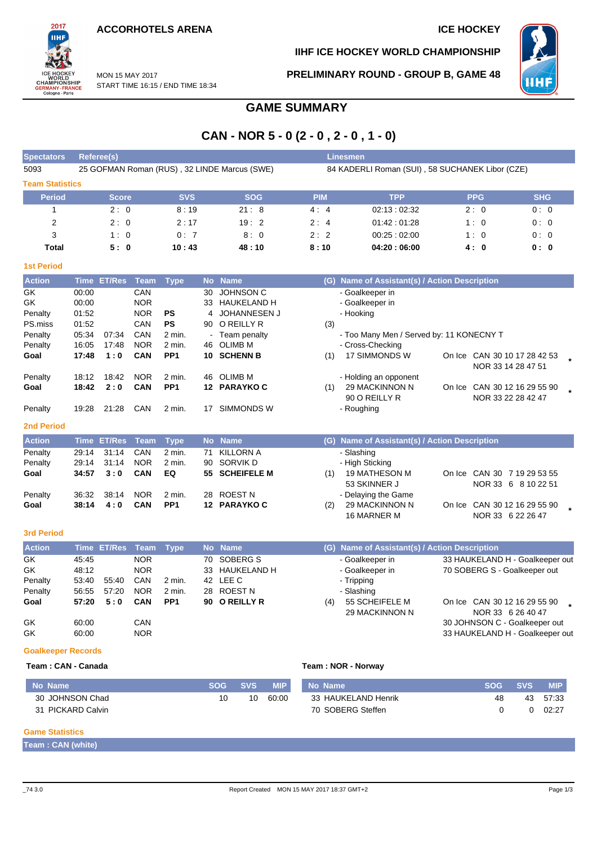

**IIHF ICE HOCKEY WORLD CHAMPIONSHIP**

**PRELIMINARY ROUND - GROUP B, GAME 48**



MON 15 MAY 2017 START TIME 16:15 / END TIME 18:34

# **GAME SUMMARY**

## **CAN - NOR 5 - 0 (2 - 0 , 2 - 0 , 1 - 0)**

| <b>Spectators</b>      |             | Referee(s)         |             |                 |                |                                              |                                                 | <b>Linesmen</b>                               |  |                      |                              |  |  |
|------------------------|-------------|--------------------|-------------|-----------------|----------------|----------------------------------------------|-------------------------------------------------|-----------------------------------------------|--|----------------------|------------------------------|--|--|
| 5093                   |             |                    |             |                 |                | 25 GOFMAN Roman (RUS), 32 LINDE Marcus (SWE) | 84 KADERLI Roman (SUI), 58 SUCHANEK Libor (CZE) |                                               |  |                      |                              |  |  |
| <b>Team Statistics</b> |             |                    |             |                 |                |                                              |                                                 |                                               |  |                      |                              |  |  |
| <b>Period</b>          |             | Score              |             | <b>SVS</b>      |                | <b>SOG</b>                                   | <b>PIM</b>                                      | <b>TPP</b>                                    |  | <b>PPG</b>           | <b>SHG</b>                   |  |  |
| 1                      |             | 2:0                |             | 8:19            |                | 21:8                                         | 4:4                                             | 02:13:02:32                                   |  | 2:0                  | 0:0                          |  |  |
| $\overline{2}$         |             | 2:0                |             | 2:17            |                | 19:2                                         | 2:4                                             | 01.42:01.28                                   |  | 1:0                  | 0:0                          |  |  |
| 3                      |             | 1:0                |             | 0:7             |                | 8:0                                          | 2:2                                             | 00:25:02:00                                   |  | 1:0                  | 0:0                          |  |  |
| <b>Total</b>           |             | 5:0                |             | 10:43           |                | 48:10                                        | 8:10                                            | 04:20:06:00                                   |  | 4:0                  | 0: 0                         |  |  |
| <b>1st Period</b>      |             |                    |             |                 |                |                                              |                                                 |                                               |  |                      |                              |  |  |
| <b>Action</b>          | <b>Time</b> | <b>ET/Res</b>      | <b>Team</b> | <b>Type</b>     | <b>No</b>      | <b>Name</b>                                  | (G)                                             | Name of Assistant(s) / Action Description     |  |                      |                              |  |  |
| GK                     | 00:00       |                    | CAN         |                 | 30             | <b>JOHNSON C</b>                             |                                                 | - Goalkeeper in                               |  |                      |                              |  |  |
| <b>GK</b>              | 00:00       |                    | <b>NOR</b>  |                 | 33             | <b>HAUKELAND H</b>                           |                                                 | - Goalkeeper in                               |  |                      |                              |  |  |
| Penalty                | 01:52       |                    | <b>NOR</b>  | <b>PS</b>       | 4              | <b>JOHANNESEN J</b>                          |                                                 | - Hooking                                     |  |                      |                              |  |  |
| PS.miss                | 01:52       |                    | CAN         | <b>PS</b>       | 90             | O REILLY R                                   | (3)                                             |                                               |  |                      |                              |  |  |
| Penalty                | 05:34       | 07:34              | CAN         | $2$ min.        |                | Team penalty                                 |                                                 | - Too Many Men / Served by: 11 KONECNY T      |  |                      |                              |  |  |
| Penalty                | 16:05       | 17:48              | <b>NOR</b>  | 2 min.          | 46             | <b>OLIMB M</b>                               |                                                 | - Cross-Checking                              |  |                      |                              |  |  |
| Goal                   | 17:48       | 1:0                | CAN         | PP <sub>1</sub> | 10             | <b>SCHENN B</b>                              | (1)                                             | 17 SIMMONDS W                                 |  | NOR 33 14 28 47 51   | On Ice CAN 30 10 17 28 42 53 |  |  |
| Penalty                | 18:12       | 18:42              | <b>NOR</b>  | $2$ min.        | 46             | <b>OLIMB M</b>                               |                                                 | - Holding an opponent                         |  |                      |                              |  |  |
| Goal                   | 18:42       | 2:0                | CAN         | PP <sub>1</sub> |                | 12 PARAYKOC                                  | (1)                                             | 29 MACKINNON N                                |  |                      | On Ice CAN 30 12 16 29 55 90 |  |  |
|                        |             |                    |             |                 |                |                                              |                                                 | 90 O REILLY R                                 |  | NOR 33 22 28 42 47   |                              |  |  |
| Penalty                | 19:28       | 21:28              | CAN         | 2 min.          | 17             | <b>SIMMONDS W</b>                            |                                                 | - Roughing                                    |  |                      |                              |  |  |
| <b>2nd Period</b>      |             |                    |             |                 |                |                                              |                                                 |                                               |  |                      |                              |  |  |
| <b>Action</b>          | <b>Time</b> | <b>ET/Res</b>      | <b>Team</b> | <b>Type</b>     | <b>No</b>      | <b>Name</b>                                  |                                                 | (G) Name of Assistant(s) / Action Description |  |                      |                              |  |  |
| Penalty                | 29:14       | 31:14              | CAN         | $2$ min.        | 71             | <b>KILLORN A</b>                             |                                                 | - Slashing                                    |  |                      |                              |  |  |
| Penalty                | 29:14       | 31:14              | <b>NOR</b>  | 2 min.          | 90             | <b>SORVIK D</b>                              |                                                 | - High Sticking                               |  |                      |                              |  |  |
| Goal                   | 34:57       | 3:0                | CAN         | EQ              | 55             | <b>SCHEIFELE M</b>                           | (1)                                             | <b>19 MATHESON M</b>                          |  |                      | On Ice CAN 30 7 19 29 53 55  |  |  |
|                        |             |                    |             |                 |                |                                              |                                                 | 53 SKINNER J                                  |  |                      | NOR 33 6 8 10 22 51          |  |  |
| Penalty                | 36:32       | 38:14              | <b>NOR</b>  | $2$ min.        |                | 28 ROEST N                                   |                                                 | - Delaying the Game                           |  |                      |                              |  |  |
| Goal                   | 38:14       | 4:0                | CAN         | PP <sub>1</sub> |                | 12 PARAYKOC                                  | (2)                                             | 29 MACKINNON N                                |  |                      | On Ice CAN 30 12 16 29 55 90 |  |  |
|                        |             |                    |             |                 |                |                                              |                                                 | 16 MARNER M                                   |  |                      | NOR 33 6 22 26 47            |  |  |
| <b>3rd Period</b>      |             |                    |             |                 |                |                                              |                                                 |                                               |  |                      |                              |  |  |
| <b>Action</b>          |             | <b>Time ET/Res</b> | Team        | <b>Type</b>     |                | No Name                                      | (G).                                            | Name of Assistant(s) / Action Description     |  |                      |                              |  |  |
| $\sim$                 | $4 - 4 -$   |                    | $\sqrt{2}$  |                 | $\overline{z}$ | 0000000                                      |                                                 |                                               |  | 0.011111177111101100 |                              |  |  |

| <b>Action</b> |       | Time El/Res Team Type |            |                 | No Name        |     | (G) Name of Assistant(s) / Action Description |                                 |
|---------------|-------|-----------------------|------------|-----------------|----------------|-----|-----------------------------------------------|---------------------------------|
| GK            | 45:45 |                       | <b>NOR</b> |                 | 70 SOBERG S    |     | - Goalkeeper in                               | 33 HAUKELAND H - Goalkeeper out |
| GK.           | 48:12 |                       | <b>NOR</b> |                 | 33 HAUKELAND H |     | - Goalkeeper in                               | 70 SOBERG S - Goalkeeper out    |
| Penalty       | 53.40 | 55:40                 | CAN        | 2 min.          | 42 LEE C       |     | - Tripping                                    |                                 |
| Penalty       | 56:55 | 57:20                 | <b>NOR</b> | 2 min.          | 28 ROESTN      |     | - Slashing                                    |                                 |
| Goal          | 57:20 | 5:0                   | <b>CAN</b> | PP <sub>1</sub> | 90 O REILLY R  | (4) | 55 SCHEIFELE M                                | On Ice CAN 30 12 16 29 55 90    |
|               |       |                       |            |                 |                |     | 29 MACKINNON N                                | NOR 33 6 26 40 47               |
| GK            | 60:00 |                       | CAN        |                 |                |     |                                               | 30 JOHNSON C - Goalkeeper out   |
| GK            | 60:00 |                       | <b>NOR</b> |                 |                |     |                                               | 33 HAUKELAND H - Goalkeeper out |

#### **Goalkeeper Records**

#### **Team : CAN - Canada Team : NOR - Norway**

| . No Name         | <b>SOG</b> | <b>SVS</b> | <b>MIP</b> | No Name             | SOG : | <b>SVS</b> | <b>MIP</b> |
|-------------------|------------|------------|------------|---------------------|-------|------------|------------|
| 30 JOHNSON Chad   |            | 10         | 60:00      | 33 HAUKELAND Henrik |       | 43         | 57:33      |
| 31 PICKARD Calvin |            |            |            | 70 SOBERG Steffen   |       |            | 02:27      |

#### **Game Statistics**

**Team : CAN (white)**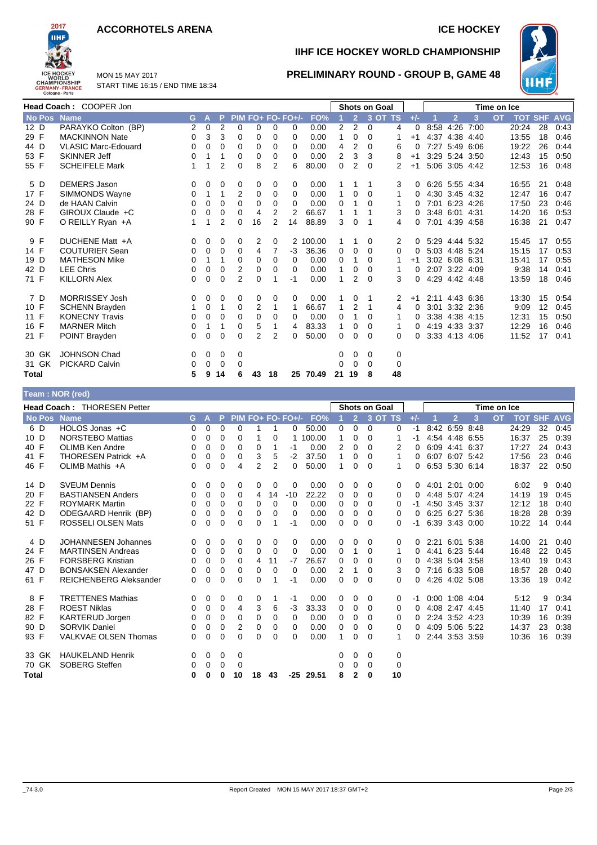#### **ACCORHOTELS ARENA ICE HOCKEY**



MON 15 MAY 2017 START TIME 16:15 / END TIME 18:34

# **IIHF ICE HOCKEY WORLD CHAMPIONSHIP**



#### **PRELIMINARY ROUND - GROUP B, GAME 48**

|              | Head Coach: COOPER Jon     |          |              |                |                |                |          |                   |          |       |                | <b>Shots on Goal</b> |                |          | Time on Ice    |                |                |           |                |    |            |
|--------------|----------------------------|----------|--------------|----------------|----------------|----------------|----------|-------------------|----------|-------|----------------|----------------------|----------------|----------|----------------|----------------|----------------|-----------|----------------|----|------------|
| No Pos       | <b>Name</b>                | G.       | $\mathsf{A}$ | P              |                |                |          | PIM FO+ FO- FO+/- | FO%      |       | $\overline{2}$ |                      | 3 OT TS        | $+/-$    |                | $\overline{2}$ | 3              | <b>OT</b> | <b>TOT SHF</b> |    | <b>AVG</b> |
| 12 D         | PARAYKO Colton (BP)        | 2        | 0            | 2              | $\Omega$       | 0              | $\Omega$ | 0                 | 0.00     | 2     | 2              | $\Omega$             | 4              | $\Omega$ | 8:58           | 4:26           | 7:00           |           | 20:24          | 28 | 0:43       |
| 29 F         | <b>MACKINNON Nate</b>      | $\Omega$ | 3            | 3              | 0              | 0              | 0        | $\Omega$          | 0.00     | 1     | 0              | $\Omega$             | 1              | $+1$     | 4:37           | 4:38 4:40      |                |           | 13:55          | 18 | 0:46       |
| 44 D         | <b>VLASIC Marc-Edouard</b> | 0        | 0            | 0              | 0              | 0              | $\Omega$ | $\Omega$          | 0.00     | 4     | 2              | $\Omega$             | 6              | 0        |                |                | 7:27 5:49 6:06 |           | 19:22          | 26 | 0:44       |
| 53 F         | <b>SKINNER Jeff</b>        | 0        |              |                | 0              | 0              | 0        | $\Omega$          | 0.00     | 2     | 3              | 3                    | 8              | $+1$     |                | 3:29 5:24 3:50 |                |           | 12:43          | 15 | 0:50       |
| 55 F         | <b>SCHEIFELE Mark</b>      | 1        | 1            | $\overline{2}$ | 0              | 8              | 2        | 6                 | 80.00    | 0     | 2              | $\Omega$             | $\overline{2}$ | $+1$     |                |                | 5:06 3:05 4:42 |           | 12:53          | 16 | 0:48       |
| 5 D          | <b>DEMERS Jason</b>        | 0        | 0            | 0              | 0              | 0              | 0        | 0                 | 0.00     |       |                |                      | 3              | 0        | 6.26 5.55 4.34 |                |                |           | 16:55          | 21 | 0:48       |
| 17 F         | <b>SIMMONDS Wayne</b>      | 0        | 1            | 1              | 2              | 0              | 0        | $\Omega$          | 0.00     |       | 0              | $\Omega$             | 1              | 0        |                | 4:30 3:45 4:32 |                |           | 12:47          | 16 | 0:47       |
| 24 D         | de HAAN Calvin             | $\Omega$ | 0            | 0              | 0              | 0              | 0        | $\Omega$          | 0.00     | 0     |                | $\Omega$             | 1              | 0        |                | 7:01 6:23 4:26 |                |           | 17:50          | 23 | 0:46       |
| 28 F         | GIROUX Claude +C           | $\Omega$ | 0            | 0              | $\Omega$       | 4              | 2        | 2                 | 66.67    | 1     |                |                      | 3              | 0        |                | 3:48 6:01 4:31 |                |           | 14:20          | 16 | 0:53       |
| 90 F         | O REILLY Ryan +A           | 1        | 1            | 2              | 0              | 16             | 2        | 14                | 88.89    | 3     | $\Omega$       |                      | 4              | 0        |                | 7:01 4:39 4:58 |                |           | 16:38          | 21 | 0:47       |
| 9 F          | DUCHENE Matt +A            | 0        | 0            | 0              | 0              | 2              | 0        |                   | 2 100.00 |       |                | 0                    | 2              | $\Omega$ |                | 5:29 4:44 5:32 |                |           | 15:45          | 17 | 0:55       |
| 14 F         | <b>COUTURIER Sean</b>      | 0        | 0            | 0              | 0              | 4              | 7        | $-3$              | 36.36    | 0     | 0              | $\Omega$             | $\Omega$       | 0        |                | 5:03 4:48 5:24 |                |           | 15:15          | 17 | 0:53       |
| 19 D         | <b>MATHESON Mike</b>       | 0        | 1            | 1              | 0              | 0              | 0        | 0                 | 0.00     | 0     |                | $\Omega$             | 1              | $+1$     |                | 3:02 6:08 6:31 |                |           | 15:41          | 17 | 0:55       |
| 42 D         | <b>LEE Chris</b>           | $\Omega$ | 0            | 0              | 2              | 0              | $\Omega$ | $\Omega$          | 0.00     | 1     | 0              | $\Omega$             | 1              | 0        |                | 2:07 3:22 4:09 |                |           | 9:38           | 14 | 0:41       |
| 71 F         | <b>KILLORN Alex</b>        | 0        | 0            | 0              | $\overline{2}$ | $\Omega$       |          | $-1$              | 0.00     |       | 2              | $\Omega$             | 3              | 0        |                | 4:29 4:42 4:48 |                |           | 13:59          | 18 | 0:46       |
| 7 D          | <b>MORRISSEY Josh</b>      | 0        | 0            | 0              | 0              | 0              | 0        | 0                 | 0.00     |       | 0              |                      | 2              | $+1$     |                | 2:11 4:43 6:36 |                |           | 13:30          | 15 | 0:54       |
| 10 F         | <b>SCHENN Brayden</b>      | 1        | 0            | 1              | 0              | 2              |          | 1                 | 66.67    | 1     | 2              | 1                    | 4              | 0        |                | 3:01 3:32 2:36 |                |           | 9:09           | 12 | 0:45       |
| 11 F         | <b>KONECNY Travis</b>      | 0        | 0            | 0              | 0              | 0              | 0        | $\Omega$          | 0.00     | 0     |                | $\Omega$             | 1              | 0        |                | 3:38 4:38 4:15 |                |           | 12:31          | 15 | 0:50       |
| 16 F         | <b>MARNER Mitch</b>        | 0        | 1            | 1              | 0              | 5              |          | 4                 | 83.33    | 1     | 0              | 0                    | 1              | $\Omega$ |                | 4:19 4:33 3:37 |                |           | 12:29          | 16 | 0:46       |
| 21 F         | POINT Brayden              | 0        | 0            | 0              | 0              | $\overline{2}$ | 2        | 0                 | 50.00    | 0     | $\Omega$       | $\Omega$             | 0              | 0        |                | 3:33 4:13 4:06 |                |           | 11:52          | 17 | 0:41       |
| 30 GK        | <b>JOHNSON Chad</b>        | 0        | 0            | 0              | 0              |                |          |                   |          | 0     | 0              | 0                    | 0              |          |                |                |                |           |                |    |            |
| 31 GK        | <b>PICKARD Calvin</b>      | 0        | 0            | 0              | 0              |                |          |                   |          | 0     | $\Omega$       | 0                    | 0              |          |                |                |                |           |                |    |            |
| <b>Total</b> |                            | 5        | 9            | 14             | 6              | 43             | 18       |                   | 25 70.49 | 21 19 |                | 8                    | 48             |          |                |                |                |           |                |    |            |

#### **Team : NOR (red)**

| <b>Head Coach: THORESEN Petter</b><br><b>Shots on Goal</b><br>Time on Ice |                               |    |          |   |             |                |                |                   |        |   |                |          |             |          |      |                  |      |           |       |                |            |
|---------------------------------------------------------------------------|-------------------------------|----|----------|---|-------------|----------------|----------------|-------------------|--------|---|----------------|----------|-------------|----------|------|------------------|------|-----------|-------|----------------|------------|
| No Pos                                                                    | <b>Name</b>                   | G. | A        | P |             |                |                | PIM FO+ FO- FO+/- | FO%    |   | $\overline{2}$ |          | 3 OT TS     | $+/-$    |      | $\overline{2}$   | 3    | <b>OT</b> |       | <b>TOT SHF</b> | <b>AVG</b> |
| 6 D                                                                       | HOLOS Jonas +C                | 0  | 0        | 0 | 0           |                |                | 0                 | 50.00  | 0 | 0              | $\Omega$ | 0           | -1       |      | 8:42 6:59 8:48   |      |           | 24:29 | 32             | 0:45       |
| 10 D                                                                      | <b>NORSTEBO Mattias</b>       | 0  | 0        | 0 | 0           |                | 0              |                   | 100.00 | 1 | 0              | 0        |             | $-1$     |      | 4:54 4:48 6:55   |      |           | 16:37 | 25             | 0:39       |
| 40 F                                                                      | <b>OLIMB Ken Andre</b>        | 0  | 0        | 0 | $\Omega$    | 0              | 1              | -1                | 0.00   | 2 | 0              | 0        | 2           | 0        |      | 6:09 4:41        | 6:37 |           | 17:27 | 24             | 0:43       |
| 41 F                                                                      | THORESEN Patrick +A           | 0  | 0        | 0 | 0           | 3              | 5              | $-2$              | 37.50  | 1 | 0              | 0        | 1           | 0        |      | 6:07 6:07 5:42   |      |           | 17:56 | 23             | 0:46       |
| 46 F                                                                      | OLIMB Mathis +A               | 0  | 0        | 0 | 4           | $\overline{2}$ | $\overline{2}$ | 0                 | 50.00  | 1 | 0              | 0        |             | 0        |      | 6:53 5:30 6:14   |      |           | 18:37 | 22             | 0:50       |
| 14 D                                                                      | <b>SVEUM Dennis</b>           | 0  | 0        | 0 | 0           | 0              | 0              | 0                 | 0.00   | 0 | 0              | $\Omega$ | 0           | 0        | 4:01 | 2:01 0:00        |      |           | 6:02  | 9              | 0:40       |
| 20 F                                                                      | <b>BASTIANSEN Anders</b>      | 0  | 0        | 0 | 0           | 4              | 14             | $-10$             | 22.22  | 0 | 0              | 0        | 0           | 0        |      | 4:48 5:07 4:24   |      |           | 14:19 | 19             | 0:45       |
| 22 F                                                                      | <b>ROYMARK Martin</b>         | 0  | 0        | 0 | 0           | 0              | 0              | 0                 | 0.00   | 0 | 0              | 0        | 0           | -1       |      | 4:50 3:45 3:37   |      |           | 12:12 | 18             | 0:40       |
| 42 D                                                                      | ODEGAARD Henrik (BP)          | 0  | 0        | 0 | 0           | 0              | $\Omega$       | 0                 | 0.00   | 0 | 0              | 0        | 0           | $\Omega$ |      | 6:25 6:27 5:36   |      |           | 18:28 | 28             | 0:39       |
| 51 F                                                                      | <b>ROSSELI OLSEN Mats</b>     | 0  | 0        | 0 | 0           | 0              |                | -1                | 0.00   | 0 | 0              | $\Omega$ | 0           | -1       |      | 6:39 3:43 0:00   |      |           | 10:22 | 14             | 0:44       |
| 4 D                                                                       | <b>JOHANNESEN Johannes</b>    | 0  | 0        | 0 | 0           | 0              | 0              | 0                 | 0.00   | 0 | 0              | 0        | 0           | 0        |      | 2:21 6:01 5:38   |      |           | 14:00 | 21             | 0:40       |
| 24 F                                                                      | <b>MARTINSEN Andreas</b>      | 0  | 0        | 0 | 0           | 0              | $\Omega$       | $\Omega$          | 0.00   | 0 | 1              | 0        | 1           | 0        | 4:41 | 6.23 5.44        |      |           | 16:48 | 22             | 0:45       |
| 26 F                                                                      | <b>FORSBERG Kristian</b>      | 0  | 0        | 0 | $\Omega$    | 4              | 11             | $-7$              | 26.67  | 0 | 0              | 0        | 0           | 0        |      | 4:38 5:04 3:58   |      |           | 13:40 | 19             | 0:43       |
| 47 D                                                                      | <b>BONSAKSEN Alexander</b>    | 0  | 0        | 0 | $\mathbf 0$ | 0              | $\Omega$       | $\Omega$          | 0.00   | 2 | 1              | 0        | 3           | 0        |      | 7:16 6:33 5:08   |      |           | 18:57 | 28             | 0:40       |
| 61 F                                                                      | <b>REICHENBERG Aleksander</b> | 0  | $\Omega$ | 0 | $\Omega$    | 0              |                | -1                | 0.00   | 0 | $\Omega$       | 0        | 0           | 0        |      | 4:26 4:02 5:08   |      |           | 13:36 | 19             | 0:42       |
| 8 F                                                                       | <b>TRETTENES Mathias</b>      | 0  | 0        | 0 | 0           | 0              |                | -1                | 0.00   | 0 | 0              | 0        | 0           | -1       |      | $0:00$ 1:08 4:04 |      |           | 5:12  | 9              | 0:34       |
| 28 F                                                                      | <b>ROEST Niklas</b>           | 0  | 0        | 0 | 4           | 3              | 6              | -3                | 33.33  | 0 | 0              | $\Omega$ | 0           | 0        |      | 4:08 2:47        | 4:45 |           | 11:40 | 17             | 0:41       |
| 82 F                                                                      | <b>KARTERUD Jorgen</b>        | 0  | 0        | 0 | $\mathbf 0$ | 0              | 0              | 0                 | 0.00   | 0 | 0              | 0        | 0           | 0        |      | 2:24 3:52 4:23   |      |           | 10:39 | 16             | 0:39       |
| 90 D                                                                      | <b>SORVIK Daniel</b>          | 0  | 0        | 0 | 2           | 0              | 0              | 0                 | 0.00   | 0 | 0              | 0        | 0           | 0        |      | 4:09 5:06 5:22   |      |           | 14:37 | 23             | 0:38       |
| 93 F                                                                      | <b>VALKVAE OLSEN Thomas</b>   | 0  | 0        | 0 | 0           | $\Omega$       | $\Omega$       | 0                 | 0.00   | 1 | 0              | 0        | 1           | 0        |      | 2:44 3:53 3:59   |      |           | 10:36 | 16             | 0:39       |
| 33 GK                                                                     | <b>HAUKELAND Henrik</b>       | 0  | 0        | 0 | 0           |                |                |                   |        | 0 | 0              | $\Omega$ | 0           |          |      |                  |      |           |       |                |            |
| 70 GK                                                                     | <b>SOBERG Steffen</b>         | 0  | 0        | 0 | 0           |                |                |                   |        | 0 | $\Omega$       | $\Omega$ | $\mathbf 0$ |          |      |                  |      |           |       |                |            |
| <b>Total</b>                                                              |                               | 0  | 0        | 0 | 10          | 18             | 43             | -25               | 29.51  | 8 | $\mathbf{2}$   | 0        | 10          |          |      |                  |      |           |       |                |            |